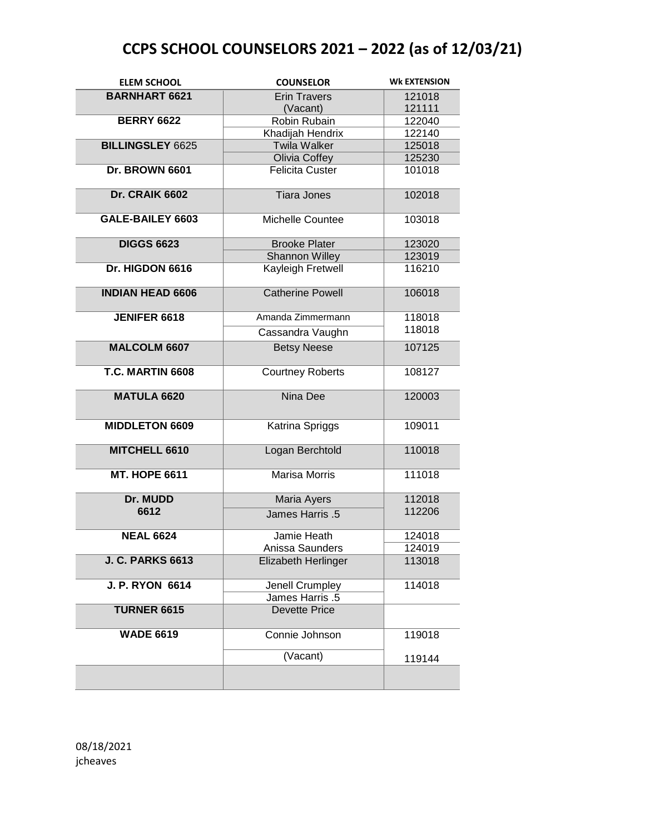| <b>ELEM SCHOOL</b>      | <b>COUNSELOR</b>                   | <b>WK EXTENSION</b> |
|-------------------------|------------------------------------|---------------------|
| <b>BARNHART 6621</b>    | <b>Erin Travers</b>                | 121018              |
|                         | (Vacant)                           | 121111              |
| <b>BERRY 6622</b>       | Robin Rubain                       | 122040              |
|                         | Khadijah Hendrix                   | 122140              |
| <b>BILLINGSLEY 6625</b> | <b>Twila Walker</b>                | 125018              |
|                         | Olivia Coffey                      | 125230              |
| Dr. BROWN 6601          | <b>Felicita Custer</b>             | 101018              |
| Dr. CRAIK 6602          | <b>Tiara Jones</b>                 | 102018              |
| GALE-BAILEY 6603        | Michelle Countee                   | 103018              |
| <b>DIGGS 6623</b>       | <b>Brooke Plater</b>               | 123020              |
|                         | <b>Shannon Willey</b>              | 123019              |
| Dr. HIGDON 6616         | Kayleigh Fretwell                  | 116210              |
| <b>INDIAN HEAD 6606</b> | <b>Catherine Powell</b>            | 106018              |
| <b>JENIFER 6618</b>     | Amanda Zimmermann                  | 118018              |
|                         | Cassandra Vaughn                   | 118018              |
| <b>MALCOLM 6607</b>     | <b>Betsy Neese</b>                 | 107125              |
|                         |                                    |                     |
| T.C. MARTIN 6608        | <b>Courtney Roberts</b>            | 108127              |
| <b>MATULA 6620</b>      | Nina Dee                           | 120003              |
| <b>MIDDLETON 6609</b>   | Katrina Spriggs                    | 109011              |
| MITCHELL 6610           | Logan Berchtold                    | 110018              |
| <b>MT. HOPE 6611</b>    | Marisa Morris                      | 111018              |
| Dr. MUDD                | Maria Ayers                        | 112018              |
| 6612                    | <b>James Harris .5</b>             | 112206              |
| <b>NEAL 6624</b>        | Jamie Heath                        | 124018              |
|                         | Anissa Saunders                    | 124019              |
| <b>J. C. PARKS 6613</b> | Elizabeth Herlinger                | 113018              |
| <b>J. P. RYON 6614</b>  | Jenell Crumpley<br>James Harris .5 | 114018              |
| <b>TURNER 6615</b>      | <b>Devette Price</b>               |                     |
| <b>WADE 6619</b>        | Connie Johnson                     | 119018              |
|                         | (Vacant)                           | 119144              |
|                         |                                    |                     |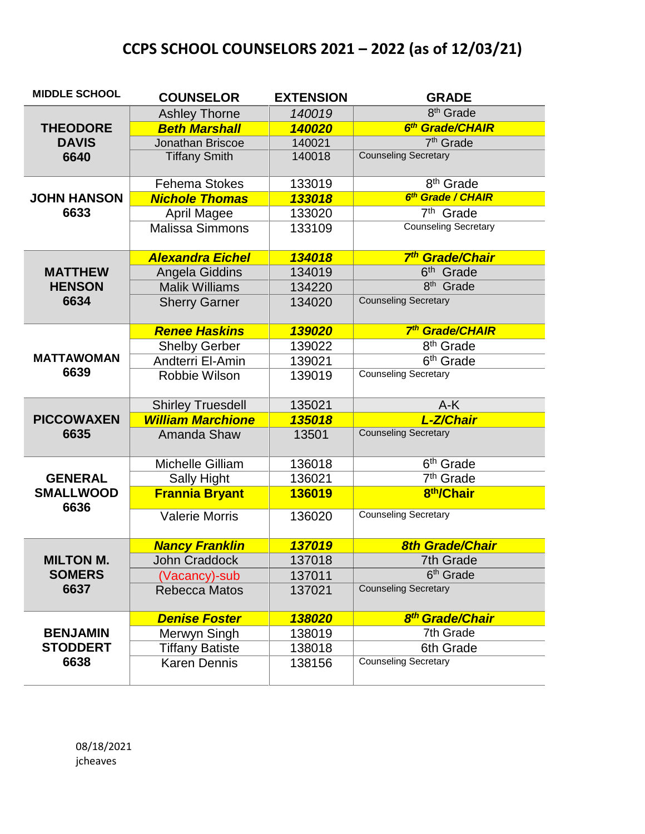| <b>MIDDLE SCHOOL</b>                       | <b>COUNSELOR</b>         | <b>EXTENSION</b> | <b>GRADE</b>                       |
|--------------------------------------------|--------------------------|------------------|------------------------------------|
|                                            | <b>Ashley Thorne</b>     | 140019           | 8 <sup>th</sup> Grade              |
| <b>THEODORE</b>                            | <b>Beth Marshall</b>     | 140020           | 6 <sup>th</sup> Grade/CHAIR        |
| <b>DAVIS</b>                               | Jonathan Briscoe         | 140021           | 7 <sup>th</sup> Grade              |
| 6640                                       | <b>Tiffany Smith</b>     | 140018           | <b>Counseling Secretary</b>        |
|                                            | <b>Fehema Stokes</b>     | 133019           | 8 <sup>th</sup> Grade              |
| <b>JOHN HANSON</b>                         | <b>Nichole Thomas</b>    | 133018           | 6 <sup>th</sup> Grade / CHAIR      |
| 6633                                       | <b>April Magee</b>       | 133020           | 7 <sup>th</sup> Grade              |
|                                            | <b>Malissa Simmons</b>   | 133109           | <b>Counseling Secretary</b>        |
|                                            | <b>Alexandra Eichel</b>  | 134018           | 7th Grade/Chair                    |
| <b>MATTHEW</b>                             | Angela Giddins           | 134019           | 6 <sup>th</sup> Grade              |
| <b>HENSON</b>                              | <b>Malik Williams</b>    | 134220           | $8th$ Grade                        |
| 6634                                       | <b>Sherry Garner</b>     | 134020           | <b>Counseling Secretary</b>        |
|                                            | <b>Renee Haskins</b>     | 139020           | 7 <sup>th</sup> Grade/CHAIR        |
|                                            | <b>Shelby Gerber</b>     | 139022           | 8 <sup>th</sup> Grade              |
| <b>MATTAWOMAN</b>                          | Andterri El-Amin         | 139021           | $\overline{6}$ <sup>th</sup> Grade |
| 6639                                       | Robbie Wilson            | 139019           | <b>Counseling Secretary</b>        |
|                                            | <b>Shirley Truesdell</b> | 135021           | $A-K$                              |
| <b>PICCOWAXEN</b>                          | <b>William Marchione</b> | 135018           | L-Z/Chair                          |
| 6635                                       | Amanda Shaw              | 13501            | <b>Counseling Secretary</b>        |
| <b>GENERAL</b><br><b>SMALLWOOD</b><br>6636 | <b>Michelle Gilliam</b>  | 136018           | 6 <sup>th</sup> Grade              |
|                                            | <b>Sally Hight</b>       | 136021           | $7th$ Grade                        |
|                                            | <b>Frannia Bryant</b>    | 136019           | 8 <sup>th</sup> /Chair             |
|                                            | <b>Valerie Morris</b>    | 136020           | <b>Counseling Secretary</b>        |
|                                            | <b>Nancy Franklin</b>    | 137019           | <b>8th Grade/Chair</b>             |
| <b>MILTON M.</b>                           | <b>John Craddock</b>     | 137018           | 7th Grade                          |
| <b>SOMERS</b>                              | (Vacancy)-sub            | 137011           | 6 <sup>th</sup> Grade              |
| 6637                                       | <b>Rebecca Matos</b>     | 137021           | <b>Counseling Secretary</b>        |
|                                            | <b>Denise Foster</b>     | 138020           | 8 <sup>th</sup> Grade/Chair        |
| <b>BENJAMIN</b>                            | Merwyn Singh             | 138019           | 7th Grade                          |
| <b>STODDERT</b>                            | <b>Tiffany Batiste</b>   | 138018           | 6th Grade                          |
| 6638                                       | <b>Karen Dennis</b>      | 138156           | <b>Counseling Secretary</b>        |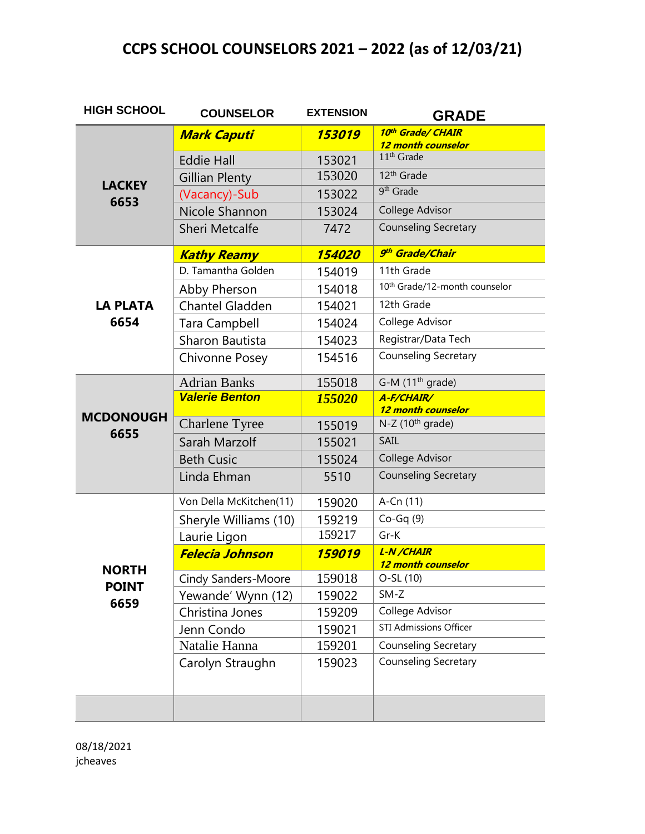| <b>HIGH SCHOOL</b> | <b>COUNSELOR</b>           | <b>EXTENSION</b> | <b>GRADE</b>                              |
|--------------------|----------------------------|------------------|-------------------------------------------|
|                    | <b>Mark Caputi</b>         | 153019           | 10th Grade/ CHAIR<br>12 month counselor   |
|                    | <b>Eddie Hall</b>          | 153021           | $11th$ Grade                              |
|                    | <b>Gillian Plenty</b>      | 153020           | 12 <sup>th</sup> Grade                    |
| <b>LACKEY</b>      | (Vacancy)-Sub              | 153022           | 9 <sup>th</sup> Grade                     |
| 6653               | Nicole Shannon             | 153024           | College Advisor                           |
|                    | <b>Sheri Metcalfe</b>      | 7472             | <b>Counseling Secretary</b>               |
|                    | <b>Kathy Reamy</b>         | 154020           | 9th Grade/Chair                           |
|                    | D. Tamantha Golden         | 154019           | 11th Grade                                |
|                    | Abby Pherson               | 154018           | 10 <sup>th</sup> Grade/12-month counselor |
| <b>LA PLATA</b>    | <b>Chantel Gladden</b>     | 154021           | 12th Grade                                |
| 6654               | <b>Tara Campbell</b>       | 154024           | College Advisor                           |
|                    | Sharon Bautista            | 154023           | Registrar/Data Tech                       |
|                    | Chivonne Posey             | 154516           | <b>Counseling Secretary</b>               |
|                    | <b>Adrian Banks</b>        | 155018           | G-M $(11th$ grade)                        |
|                    | <b>Valerie Benton</b>      | 155020           | A-F/CHAIR/<br>12 month counselor          |
| <b>MCDONOUGH</b>   | <b>Charlene Tyree</b>      | 155019           | $N-Z$ (10 <sup>th</sup> grade)            |
| 6655               | Sarah Marzolf              | 155021           | SAIL                                      |
|                    | <b>Beth Cusic</b>          | 155024           | College Advisor                           |
|                    | Linda Ehman                | 5510             | <b>Counseling Secretary</b>               |
|                    | Von Della McKitchen(11)    | 159020           | A-Cn (11)                                 |
|                    | Sheryle Williams (10)      | 159219           | $Co-Gq(9)$                                |
|                    | Laurie Ligon               | 159217           | $Gr-K$                                    |
|                    | <b>Felecia Johnson</b>     | 159019           | L-N/CHAIR<br>12 month counselor           |
| <b>NORTH</b>       | <b>Cindy Sanders-Moore</b> | 159018           | O-SL (10)                                 |
| <b>POINT</b>       | Yewande' Wynn (12)         | 159022           | $SM-Z$                                    |
| 6659               | Christina Jones            | 159209           | College Advisor                           |
|                    | Jenn Condo                 | 159021           | <b>STI Admissions Officer</b>             |
|                    | Natalie Hanna              | 159201           | <b>Counseling Secretary</b>               |
|                    | Carolyn Straughn           | 159023           | <b>Counseling Secretary</b>               |
|                    |                            |                  |                                           |
|                    |                            |                  |                                           |